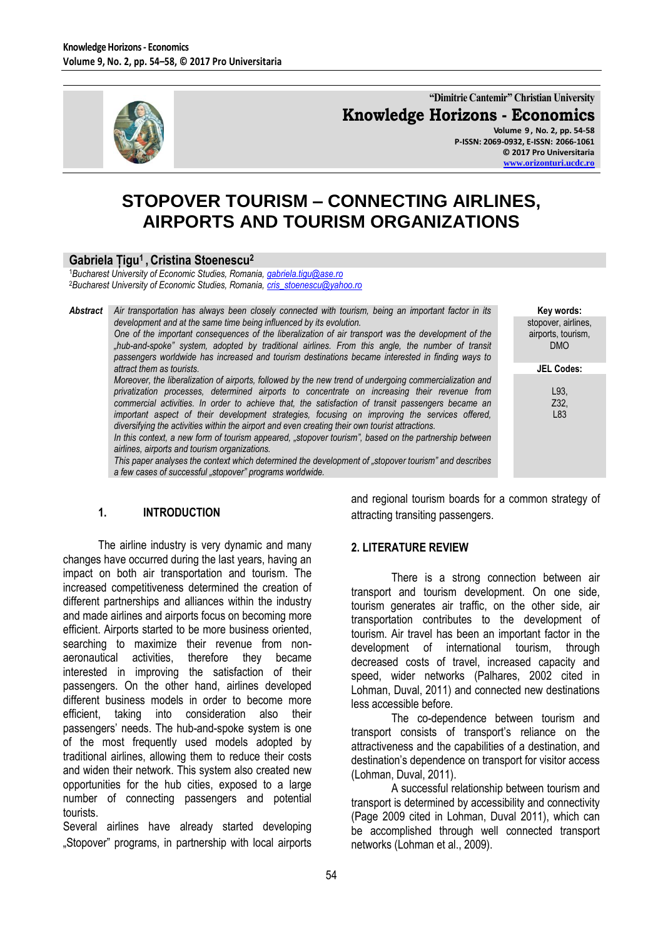

**"Dimitrie Cantemir" Christian University Knowledge Horizons - Economics**

**Volume 9 , No. 2, pp. 54-58 P-ISSN: 2069-0932, E-ISSN: 2066-1061 © 2017 Pro Universitaria [www.orizonturi.ucdc.ro](http://www.orizonturi.ucdc.ro/)**

> **Key words:** stopover, airlines, airports, tourism, DMO

> > **JEL Codes:**

L93, Z32, L83

# **STOPOVER TOURISM – CONNECTING AIRLINES, AIRPORTS AND TOURISM ORGANIZATIONS**

#### **Gabriela Țigu<sup>1</sup> , Cristina Stoenescu<sup>2</sup>**

<sup>1</sup>*Bucharest University of Economic Studies, Romania[, gabriela.tigu@ase.ro](mailto:gabriela.tigu@ase.ro)* <sup>2</sup>*Bucharest University of Economic Studies, Romania[, cris\\_stoenescu@yahoo.ro](mailto:cris_stoenescu@yahoo.ro)*

*Abstract Air transportation has always been closely connected with tourism, being an important factor in its development and at the same time being influenced by its evolution. One of the important consequences of the liberalization of air transport was the development of the "hub-and-spoke" system, adopted by traditional airlines. From this angle, the number of transit passengers worldwide has increased and tourism destinations became interested in finding ways to attract them as tourists.* 

*Moreover, the liberalization of airports, followed by the new trend of undergoing commercialization and privatization processes, determined airports to concentrate on increasing their revenue from commercial activities. In order to achieve that, the satisfaction of transit passengers became an important aspect of their development strategies, focusing on improving the services offered, diversifying the activities within the airport and even creating their own tourist attractions.* 

*In this context, a new form of tourism appeared, "stopover tourism", based on the partnership between airlines, airports and tourism organizations.* 

*This paper analyses the context which determined the development of "stopover tourism" and describes a few cases of successful "stopover" programs worldwide.*

#### **1. INTRODUCTION**

The airline industry is very dynamic and many changes have occurred during the last years, having an impact on both air transportation and tourism. The increased competitiveness determined the creation of different partnerships and alliances within the industry and made airlines and airports focus on becoming more efficient. Airports started to be more business oriented, searching to maximize their revenue from nonaeronautical activities, therefore they became interested in improving the satisfaction of their passengers. On the other hand, airlines developed different business models in order to become more efficient, taking into consideration also their passengers" needs. The hub-and-spoke system is one of the most frequently used models adopted by traditional airlines, allowing them to reduce their costs and widen their network. This system also created new opportunities for the hub cities, exposed to a large number of connecting passengers and potential tourists.

Several airlines have already started developing "Stopover" programs, in partnership with local airports and regional tourism boards for a common strategy of attracting transiting passengers.

#### **2. LITERATURE REVIEW**

There is a strong connection between air transport and tourism development. On one side, tourism generates air traffic, on the other side, air transportation contributes to the development of tourism. Air travel has been an important factor in the development of international tourism, through decreased costs of travel, increased capacity and speed, wider networks (Palhares, 2002 cited in Lohman, Duval, 2011) and connected new destinations less accessible before.

The co-dependence between tourism and transport consists of transport"s reliance on the attractiveness and the capabilities of a destination, and destination's dependence on transport for visitor access (Lohman, Duval, 2011).

A successful relationship between tourism and transport is determined by accessibility and connectivity (Page 2009 cited in Lohman, Duval 2011), which can be accomplished through well connected transport networks (Lohman et al., 2009).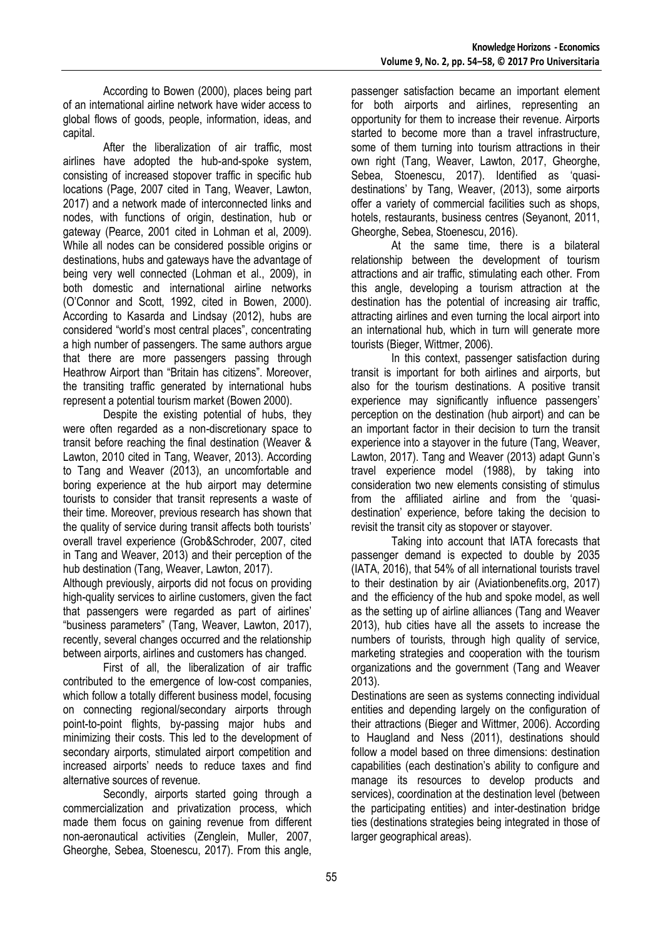According to Bowen (2000), places being part of an international airline network have wider access to global flows of goods, people, information, ideas, and capital.

After the liberalization of air traffic, most airlines have adopted the hub-and-spoke system, consisting of increased stopover traffic in specific hub locations (Page, 2007 cited in Tang, Weaver, Lawton, 2017) and a network made of interconnected links and nodes, with functions of origin, destination, hub or gateway (Pearce, 2001 cited in Lohman et al, 2009). While all nodes can be considered possible origins or destinations, hubs and gateways have the advantage of being very well connected (Lohman et al., 2009), in both domestic and international airline networks (O"Connor and Scott, 1992, cited in Bowen, 2000). According to Kasarda and Lindsay (2012), hubs are considered "world"s most central places", concentrating a high number of passengers. The same authors argue that there are more passengers passing through Heathrow Airport than "Britain has citizens". Moreover, the transiting traffic generated by international hubs represent a potential tourism market (Bowen 2000).

Despite the existing potential of hubs, they were often regarded as a non-discretionary space to transit before reaching the final destination (Weaver & Lawton, 2010 cited in Tang, Weaver, 2013). According to Tang and Weaver (2013), an uncomfortable and boring experience at the hub airport may determine tourists to consider that transit represents a waste of their time. Moreover, previous research has shown that the quality of service during transit affects both tourists" overall travel experience (Grob&Schroder, 2007, cited in Tang and Weaver, 2013) and their perception of the hub destination (Tang, Weaver, Lawton, 2017).

Although previously, airports did not focus on providing high-quality services to airline customers, given the fact that passengers were regarded as part of airlines" "business parameters" (Tang, Weaver, Lawton, 2017), recently, several changes occurred and the relationship between airports, airlines and customers has changed.

First of all, the liberalization of air traffic contributed to the emergence of low-cost companies, which follow a totally different business model, focusing on connecting regional/secondary airports through point-to-point flights, by-passing major hubs and minimizing their costs. This led to the development of secondary airports, stimulated airport competition and increased airports" needs to reduce taxes and find alternative sources of revenue.

Secondly, airports started going through a commercialization and privatization process, which made them focus on gaining revenue from different non-aeronautical activities (Zenglein, Muller, 2007, Gheorghe, Sebea, Stoenescu, 2017). From this angle,

passenger satisfaction became an important element for both airports and airlines, representing an opportunity for them to increase their revenue. Airports started to become more than a travel infrastructure, some of them turning into tourism attractions in their own right (Tang, Weaver, Lawton, 2017, Gheorghe, Sebea, Stoenescu, 2017). Identified as "quasidestinations" by Tang, Weaver, (2013), some airports offer a variety of commercial facilities such as shops, hotels, restaurants, business centres (Seyanont, 2011, Gheorghe, Sebea, Stoenescu, 2016).

At the same time, there is a bilateral relationship between the development of tourism attractions and air traffic, stimulating each other. From this angle, developing a tourism attraction at the destination has the potential of increasing air traffic, attracting airlines and even turning the local airport into an international hub, which in turn will generate more tourists (Bieger, Wittmer, 2006).

In this context, passenger satisfaction during transit is important for both airlines and airports, but also for the tourism destinations. A positive transit experience may significantly influence passengers' perception on the destination (hub airport) and can be an important factor in their decision to turn the transit experience into a stayover in the future (Tang, Weaver, Lawton, 2017). Tang and Weaver (2013) adapt Gunn"s travel experience model (1988), by taking into consideration two new elements consisting of stimulus from the affiliated airline and from the "quasidestination" experience, before taking the decision to revisit the transit city as stopover or stayover.

Taking into account that IATA forecasts that passenger demand is expected to double by 2035 (IATA, 2016), that 54% of all international tourists travel to their destination by air (Aviationbenefits.org, 2017) and the efficiency of the hub and spoke model, as well as the setting up of airline alliances (Tang and Weaver 2013), hub cities have all the assets to increase the numbers of tourists, through high quality of service, marketing strategies and cooperation with the tourism organizations and the government (Tang and Weaver 2013).

Destinations are seen as systems connecting individual entities and depending largely on the configuration of their attractions (Bieger and Wittmer, 2006). According to Haugland and Ness (2011), destinations should follow a model based on three dimensions: destination capabilities (each destination"s ability to configure and manage its resources to develop products and services), coordination at the destination level (between the participating entities) and inter-destination bridge ties (destinations strategies being integrated in those of larger geographical areas).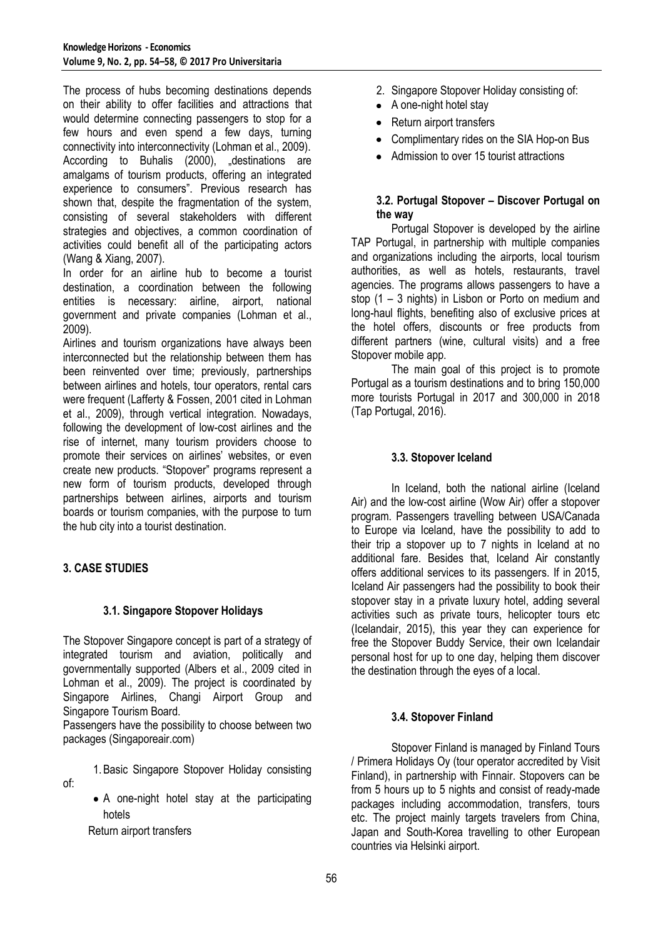The process of hubs becoming destinations depends on their ability to offer facilities and attractions that would determine connecting passengers to stop for a few hours and even spend a few days, turning connectivity into interconnectivity (Lohman et al., 2009). According to Buhalis (2000), "destinations are amalgams of tourism products, offering an integrated experience to consumers". Previous research has shown that, despite the fragmentation of the system, consisting of several stakeholders with different strategies and objectives, a common coordination of activities could benefit all of the participating actors (Wang & Xiang, 2007).

In order for an airline hub to become a tourist destination, a coordination between the following entities is necessary: airline, airport, national government and private companies (Lohman et al., 2009).

Airlines and tourism organizations have always been interconnected but the relationship between them has been reinvented over time; previously, partnerships between airlines and hotels, tour operators, rental cars were frequent (Lafferty & Fossen, 2001 cited in Lohman et al., 2009), through vertical integration. Nowadays, following the development of low-cost airlines and the rise of internet, many tourism providers choose to promote their services on airlines' websites, or even create new products. "Stopover" programs represent a new form of tourism products, developed through partnerships between airlines, airports and tourism boards or tourism companies, with the purpose to turn the hub city into a tourist destination.

## **3. CASE STUDIES**

of:

## **3.1. Singapore Stopover Holidays**

The Stopover Singapore concept is part of a strategy of integrated tourism and aviation, politically and governmentally supported (Albers et al., 2009 cited in Lohman et al., 2009). The project is coordinated by Singapore Airlines, Changi Airport Group and Singapore Tourism Board.

Passengers have the possibility to choose between two packages (Singaporeair.com)

- 1.Basic Singapore Stopover Holiday consisting
- A one-night hotel stay at the participating hotels

Return airport transfers

- 2. Singapore Stopover Holiday consisting of:
- A one-night hotel stay
- Return airport transfers
- Complimentary rides on the SIA Hop-on Bus
- Admission to over 15 tourist attractions

## **3.2. Portugal Stopover – Discover Portugal on the way**

Portugal Stopover is developed by the airline TAP Portugal, in partnership with multiple companies and organizations including the airports, local tourism authorities, as well as hotels, restaurants, travel agencies. The programs allows passengers to have a stop (1 – 3 nights) in Lisbon or Porto on medium and long-haul flights, benefiting also of exclusive prices at the hotel offers, discounts or free products from different partners (wine, cultural visits) and a free Stopover mobile app.

The main goal of this project is to promote Portugal as a tourism destinations and to bring 150,000 more tourists Portugal in 2017 and 300,000 in 2018 (Tap Portugal, 2016).

## **3.3. Stopover Iceland**

In Iceland, both the national airline (Iceland Air) and the low-cost airline (Wow Air) offer a stopover program. Passengers travelling between USA/Canada to Europe via Iceland, have the possibility to add to their trip a stopover up to 7 nights in Iceland at no additional fare. Besides that, Iceland Air constantly offers additional services to its passengers. If in 2015, Iceland Air passengers had the possibility to book their stopover stay in a private luxury hotel, adding several activities such as private tours, helicopter tours etc (Icelandair, 2015), this year they can experience for free the Stopover Buddy Service, their own Icelandair personal host for up to one day, helping them discover the destination through the eyes of a local.

## **3.4. Stopover Finland**

Stopover Finland is managed by Finland Tours / Primera Holidays Oy (tour operator accredited by Visit Finland), in partnership with Finnair. Stopovers can be from 5 hours up to 5 nights and consist of ready-made packages including accommodation, transfers, tours etc. The project mainly targets travelers from China, Japan and South-Korea travelling to other European countries via Helsinki airport.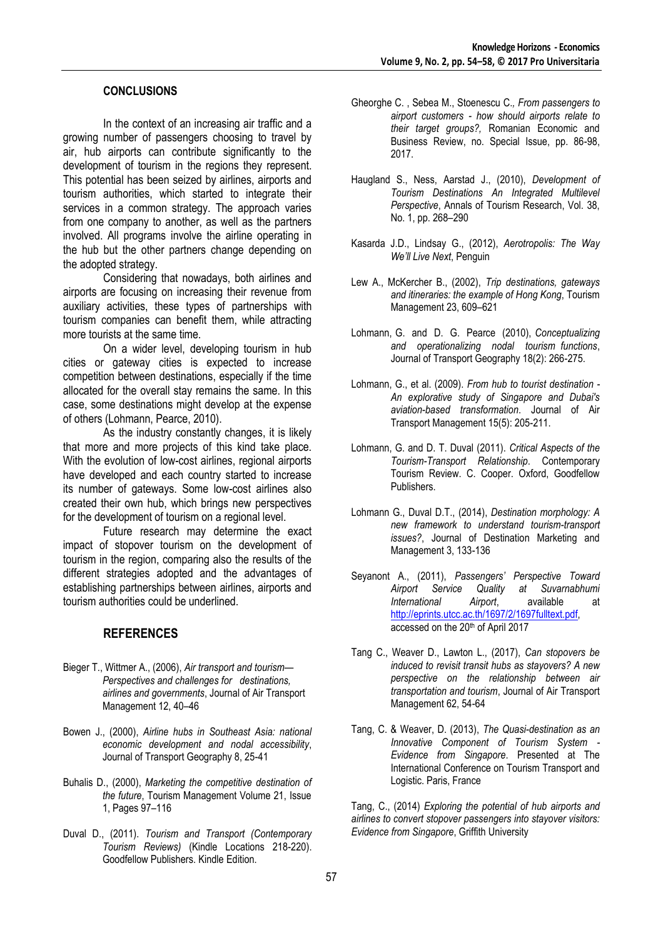#### **CONCLUSIONS**

In the context of an increasing air traffic and a growing number of passengers choosing to travel by air, hub airports can contribute significantly to the development of tourism in the regions they represent. This potential has been seized by airlines, airports and tourism authorities, which started to integrate their services in a common strategy. The approach varies from one company to another, as well as the partners involved. All programs involve the airline operating in the hub but the other partners change depending on the adopted strategy.

Considering that nowadays, both airlines and airports are focusing on increasing their revenue from auxiliary activities, these types of partnerships with tourism companies can benefit them, while attracting more tourists at the same time.

On a wider level, developing tourism in hub cities or gateway cities is expected to increase competition between destinations, especially if the time allocated for the overall stay remains the same. In this case, some destinations might develop at the expense of others (Lohmann, Pearce, 2010).

As the industry constantly changes, it is likely that more and more projects of this kind take place. With the evolution of low-cost airlines, regional airports have developed and each country started to increase its number of gateways. Some low-cost airlines also created their own hub, which brings new perspectives for the development of tourism on a regional level.

Future research may determine the exact impact of stopover tourism on the development of tourism in the region, comparing also the results of the different strategies adopted and the advantages of establishing partnerships between airlines, airports and tourism authorities could be underlined.

#### **REFERENCES**

- Bieger T., Wittmer A., (2006), *Air transport and tourism— Perspectives and challenges for destinations, airlines and governments*, Journal of Air Transport Management 12, 40–46
- Bowen J., (2000), *Airline hubs in Southeast Asia: national economic development and nodal accessibility*, Journal of Transport Geography 8, 25-41
- Buhalis D., (2000), *Marketing the competitive destination of the future*, Tourism Management Volume 21, Issue 1, Pages 97–116
- Duval D., (2011). *Tourism and Transport (Contemporary Tourism Reviews)* (Kindle Locations 218-220). Goodfellow Publishers. Kindle Edition.
- Gheorghe C. , Sebea M., Stoenescu C.*, From passengers to airport customers - how should airports relate to their target groups?,* Romanian Economic and Business Review, no. Special Issue, pp. 86-98, 2017.
- Haugland S., Ness, Aarstad J., (2010), *Development of Tourism Destinations An Integrated Multilevel Perspective*, Annals of Tourism Research, Vol. 38, No. 1, pp. 268–290
- Kasarda J.D., Lindsay G., (2012), *Aerotropolis: The Way We'll Live Next*, Penguin
- Lew A., McKercher B., (2002), *Trip destinations, gateways and itineraries: the example of Hong Kong*, Tourism Management 23, 609–621
- Lohmann, G. and D. G. Pearce (2010), *Conceptualizing and operationalizing nodal tourism functions*, Journal of Transport Geography 18(2): 266-275.
- Lohmann, G., et al. (2009). *From hub to tourist destination - An explorative study of Singapore and Dubai's aviation-based transformation*. Journal of Air Transport Management 15(5): 205-211.
- Lohmann, G. and D. T. Duval (2011). *Critical Aspects of the Tourism-Transport Relationship*. Contemporary Tourism Review. C. Cooper. Oxford, Goodfellow Publishers.
- Lohmann G., Duval D.T., (2014), *Destination morphology: A new framework to understand tourism-transport issues?*, Journal of Destination Marketing and Management 3, 133-136
- Seyanont A., (2011), *Passengers' Perspective Toward Airport Service Quality at Suvarnabhumi International Airport*, available at http://eprints.utcc.ac.th/1697/2/1697fulltext.pdf, accessed on the 20<sup>th</sup> of April 2017
- Tang C., Weaver D., Lawton L., (2017), *Can stopovers be induced to revisit transit hubs as stayovers? A new perspective on the relationship between air transportation and tourism*, Journal of Air Transport Management 62, 54-64
- Tang, C. & Weaver, D. (2013), *The Quasi-destination as an Innovative Component of Tourism System - Evidence from Singapore*. Presented at The International Conference on Tourism Transport and Logistic. Paris, France

Tang, C., (2014) *Exploring the potential of hub airports and airlines to convert stopover passengers into stayover visitors: Evidence from Singapore*, Griffith University